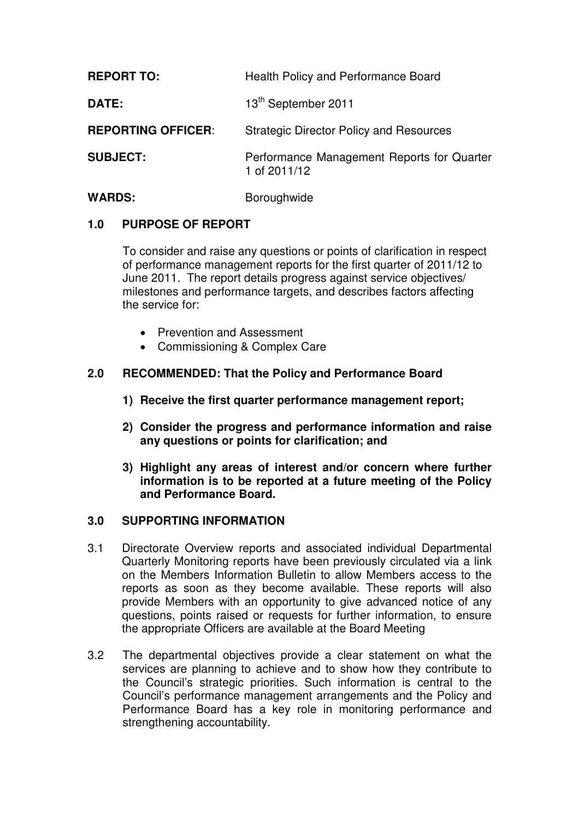| <b>REPORT TO:</b>         | Health Policy and Performance Board                        |
|---------------------------|------------------------------------------------------------|
| <b>DATE:</b>              | 13 <sup>th</sup> September 2011                            |
| <b>REPORTING OFFICER:</b> | <b>Strategic Director Policy and Resources</b>             |
| <b>SUBJECT:</b>           | Performance Management Reports for Quarter<br>1 of 2011/12 |

# WARDS: **Boroughwide**

## **1.0 PURPOSE OF REPORT**

To consider and raise any questions or points of clarification in respect of performance management reports for the first quarter of 2011/12 to June 2011. The report details progress against service objectives/ milestones and performance targets, and describes factors affecting the service for:

- Prevention and Assessment
- Commissioning & Complex Care

## **2.0 RECOMMENDED: That the Policy and Performance Board**

- **1) Receive the first quarter performance management report;**
- **2) Consider the progress and performance information and raise any questions or points for clarification; and**
- **3) Highlight any areas of interest and/or concern where further information is to be reported at a future meeting of the Policy and Performance Board.**

### **3.0 SUPPORTING INFORMATION**

- 3.1 Directorate Overview reports and associated individual Departmental Quarterly Monitoring reports have been previously circulated via a link on the Members Information Bulletin to allow Members access to the reports as soon as they become available. These reports will also provide Members with an opportunity to give advanced notice of any questions, points raised or requests for further information, to ensure the appropriate Officers are available at the Board Meeting
- 3.2 The departmental objectives provide a clear statement on what the services are planning to achieve and to show how they contribute to the Council's strategic priorities. Such information is central to the Council's performance management arrangements and the Policy and Performance Board has a key role in monitoring performance and strengthening accountability.